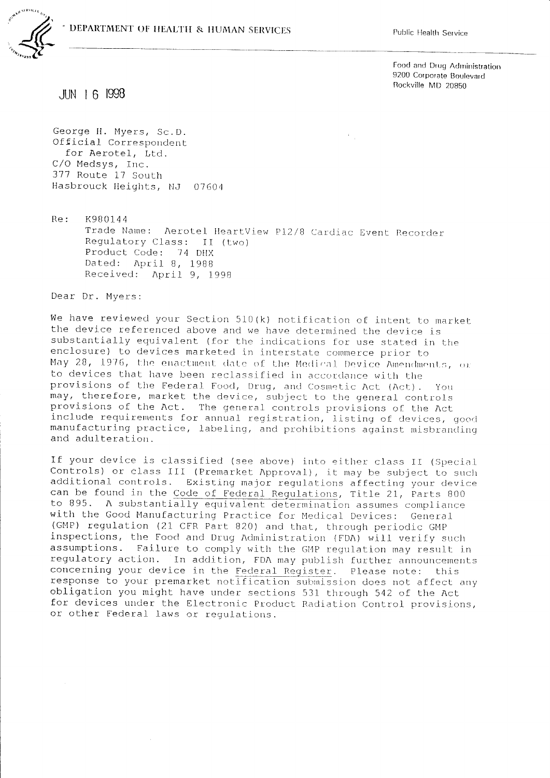$\tilde{r}_{\rm eff}$ 



Food and Drug Administration 9200 Corporate Boulevard Rockville MD 20850

 $JIN$  16 1998

George H. Myers, Sc.D. Official Correspondent for Aerotel, Ltd. C/O Medsys, Inc. 377 Route 17 South Hasbrouck Heights, NJ 07604

 $Re:$ K980144 Trade Name: Aerotel HeartView P12/8 Cardiac Event Recorder Requlatory Class: II (two) Product Code: 74 DHX Dated: April 8, 1988 Received: April 9, 1998

Dear Dr. Myers:

We have reviewed your Section 510(k) notification of intent to market the device referenced above and we have determined the device is substantially equivalent (for the indications for use stated in the enclosure) to devices marketed in interstate commerce prior to May 28, 1976, the enactment date of the Medical Device Amendments, or to devices that have been reclassified in accordance with the provisions of the Federal Food, Drug, and Cosmetic Act (Act).  $Y_{O11}$ may, therefore, market the device, subject to the general controls provisions of the Act. The general controls provisions of the Act include requirements for annual registration, listing of devices, good manufacturing practice, labeling, and prohibitions against misbranding and adulteration.

If your device is classified (see above) into either class II (Special Controls) or class III (Premarket Approval), it may be subject to such additional controls. Existing major regulations affecting your device can be found in the Code of Federal Regulations, Title 21, Parts 800 to 895. A substantially equivalent determination assumes compliance with the Good Manufacturing Practice for Medical Devices: General (GMP) regulation (21 CFR Part 820) and that, through periodic GMP inspections, the Food and Drug Administration (FDA) will verify such assumptions. Failure to comply with the GMP regulation may result in regulatory action. In addition, FDA may publish further announcements concerning your device in the Federal Register. Please note: this response to your premarket notification submission does not affect any obligation you might have under sections 531 through 542 of the Act for devices under the Electronic Product Radiation Control provisions, or other Federal laws or regulations.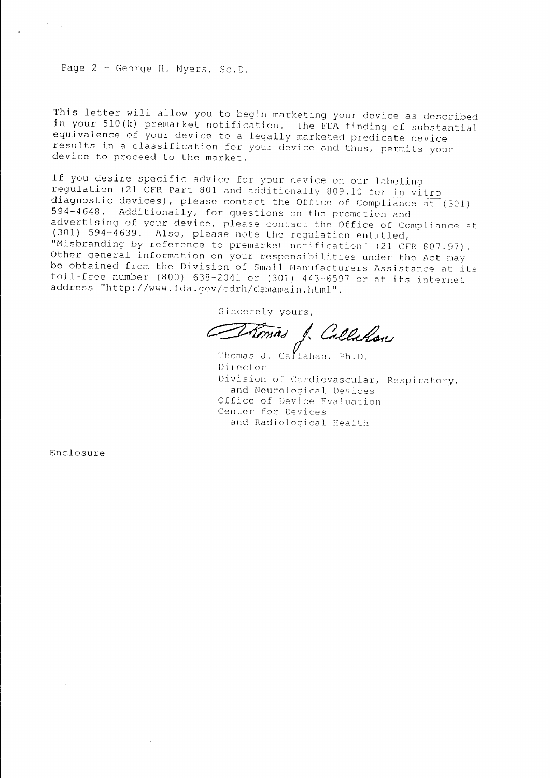## Page 2 - George H. Myers, Sc.D.

This letter will allow you to begin marketing your device as described in your 510(k) premarket notification. The FDA finding of substantial equivalence of your device to a legally marketed predicate device results in a classification for your device and thus, permits your device to proceed to the market.

If you desire specific advice for your device on our labeling regulation (21 CFR Part 801 and additionally 809.10 for in vitro diagnostic devices), please contact the Office of Compliance at (301) 594-4648. Additionally, for questions on the promotion and advertising of your device, please contact the Office of Compliance at (301) 594-4639. Also, please note the regulation entitled, "Misbranding by reference to premarket notification" (21 CFR 807.97). Other general information on your responsibilities under the Act may be obtained from the Division of Small Manufacturers Assistance at its toll-free number (800)  $638-2041$  or (301)  $443-6597$  or at its internet address "http://www.fda.gov/cdrh/dsmamain.html".

Sincerely yours,

Romas J. Callalon

Thomas J. Ca $f_{1}$ ahan, Ph.D. Director Division of Cardiovascular, Respiratory, and Neurological Devices Office of Device Evaluation Center for Devices and Radiological Health

Enclosure

 $\hat{\boldsymbol{\theta}}$ 

 $\mathcal{V}=\mathcal{V}$  .